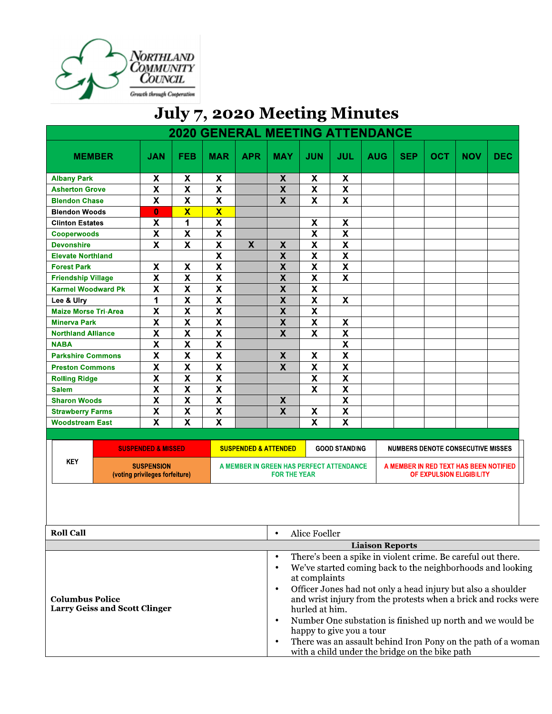

## July 7, 2020 Meeting Minutes

|                             |               |                                                     |                           | <b>2020 GENERAL MEETING ATTENDANCE</b> |                                 |                                                                 |                           |                           |                                     |                   |              |                                                                    |            |
|-----------------------------|---------------|-----------------------------------------------------|---------------------------|----------------------------------------|---------------------------------|-----------------------------------------------------------------|---------------------------|---------------------------|-------------------------------------|-------------------|--------------|--------------------------------------------------------------------|------------|
|                             | <b>MEMBER</b> | <b>JAN</b>                                          | <b>FEB</b>                | <b>MAR</b>                             | <b>APR</b>                      | <b>MAY</b>                                                      | <b>JUN</b>                | <b>JUL</b>                | <b>AUG</b>                          | <b>SEP</b>        | OCT          | <b>NOV</b>                                                         | <b>DEC</b> |
| <b>Albany Park</b>          |               | X                                                   | X                         | X                                      |                                 | X                                                               | X                         | X                         |                                     |                   |              |                                                                    |            |
| <b>Asherton Grove</b>       |               | $\overline{\mathbf{X}}$                             | $\overline{\mathbf{x}}$   | $\overline{\mathbf{X}}$                |                                 | $\overline{\mathbf{X}}$                                         | $\overline{\mathbf{X}}$   | $\overline{\mathbf{X}}$   |                                     |                   |              |                                                                    |            |
| <b>Blendon Chase</b>        |               | $\overline{\mathbf{x}}$                             | $\overline{\mathbf{x}}$   | $\overline{\mathbf{x}}$                |                                 | $\overline{\mathbf{X}}$                                         | $\overline{\mathbf{x}}$   | $\overline{\mathbf{x}}$   |                                     |                   |              |                                                                    |            |
| <b>Blendon Woods</b>        |               | $\bf{0}$                                            | $\overline{\textbf{X}}$   | $\overline{\mathbf{X}}$                |                                 |                                                                 |                           |                           |                                     |                   |              |                                                                    |            |
| <b>Clinton Estates</b>      |               | $\pmb{\mathsf{X}}$                                  | 1                         | $\boldsymbol{\mathsf{x}}$              |                                 |                                                                 | $\pmb{\mathsf{X}}$        | $\pmb{\mathsf{X}}$        |                                     |                   |              |                                                                    |            |
| <b>Cooperwoods</b>          |               | $\overline{\mathbf{x}}$                             | $\overline{\mathbf{x}}$   | $\overline{\mathbf{X}}$                |                                 |                                                                 | $\overline{\mathbf{X}}$   | $\overline{\mathbf{x}}$   |                                     |                   |              |                                                                    |            |
| <b>Devonshire</b>           |               | $\overline{\mathbf{x}}$                             | $\overline{\mathbf{x}}$   | $\overline{\mathbf{X}}$                | $\overline{\mathbf{X}}$         | $\boldsymbol{\mathsf{X}}$                                       | $\overline{\mathbf{x}}$   | $\overline{\mathbf{x}}$   |                                     |                   |              |                                                                    |            |
| <b>Elevate Northland</b>    |               |                                                     |                           | $\boldsymbol{\mathsf{X}}$              |                                 | $\boldsymbol{\mathsf{X}}$                                       | $\overline{\mathbf{X}}$   | $\overline{\mathbf{X}}$   |                                     |                   |              |                                                                    |            |
| <b>Forest Park</b>          |               | $\boldsymbol{\mathsf{x}}$                           | $\boldsymbol{\mathsf{X}}$ | $\overline{\mathbf{X}}$                |                                 | $\overline{\mathbf{X}}$                                         | $\overline{\mathbf{X}}$   | $\overline{\mathbf{X}}$   |                                     |                   |              |                                                                    |            |
| <b>Friendship Village</b>   |               | $\pmb{\mathsf{X}}$                                  | $\boldsymbol{\mathsf{X}}$ | $\boldsymbol{\mathsf{X}}$              |                                 | $\boldsymbol{\mathsf{X}}$                                       | $\boldsymbol{\mathsf{X}}$ | $\overline{\mathsf{x}}$   |                                     |                   |              |                                                                    |            |
| <b>Karmel Woodward Pk</b>   |               | $\pmb{\mathsf{X}}$                                  | $\boldsymbol{\mathsf{X}}$ | $\mathbf x$                            |                                 | $\boldsymbol{\mathsf{X}}$                                       | $\mathsf{x}$              |                           |                                     |                   |              |                                                                    |            |
| Lee & Ulry                  |               | 1                                                   | $\overline{\mathbf{X}}$   | $\boldsymbol{\mathsf{x}}$              |                                 | $\pmb{\mathsf{X}}$                                              | $\boldsymbol{\mathsf{X}}$ | $\pmb{\mathsf{X}}$        |                                     |                   |              |                                                                    |            |
| <b>Maize Morse Tri-Area</b> |               | $\overline{\mathbf{x}}$                             | $\overline{\textbf{x}}$   | $\overline{\mathbf{x}}$                |                                 | $\overline{\mathbf{X}}$                                         | $\overline{\mathbf{X}}$   |                           |                                     |                   |              |                                                                    |            |
| <b>Minerva Park</b>         |               | $\pmb{\mathsf{X}}$                                  | $\overline{\mathbf{x}}$   | $\overline{\mathbf{x}}$                |                                 | $\overline{\mathbf{X}}$                                         | $\overline{\mathbf{x}}$   | $\pmb{\mathsf{X}}$        |                                     |                   |              |                                                                    |            |
| <b>Northland Alliance</b>   |               | $\pmb{\mathsf{X}}$                                  | $\overline{\mathbf{X}}$   | $\overline{\mathbf{X}}$                |                                 | $\overline{\mathbf{X}}$                                         | $\boldsymbol{\mathsf{X}}$ | $\boldsymbol{\mathsf{X}}$ |                                     |                   |              |                                                                    |            |
| <b>NABA</b>                 |               | $\overline{\mathbf{X}}$                             | $\overline{\mathbf{x}}$   | $\overline{\mathbf{X}}$                |                                 |                                                                 |                           | $\overline{\mathbf{X}}$   |                                     |                   |              |                                                                    |            |
| <b>Parkshire Commons</b>    |               | $\overline{\mathbf{X}}$                             | $\overline{\mathbf{x}}$   | $\overline{\mathbf{x}}$                |                                 | $\pmb{\mathsf{X}}$                                              | $\boldsymbol{\mathsf{X}}$ | $\overline{\mathbf{x}}$   |                                     |                   |              |                                                                    |            |
| <b>Preston Commons</b>      |               | $\overline{\mathbf{X}}$                             | $\overline{\mathbf{x}}$   | $\overline{\mathbf{x}}$                |                                 | $\overline{\mathbf{x}}$                                         | $\overline{\mathbf{x}}$   | $\overline{\mathbf{X}}$   |                                     |                   |              |                                                                    |            |
| <b>Rolling Ridge</b>        |               | $\overline{\mathbf{X}}$                             | $\overline{\mathbf{x}}$   | $\overline{\mathbf{x}}$                |                                 |                                                                 | $\overline{\mathbf{x}}$   | $\overline{\mathbf{x}}$   |                                     |                   |              |                                                                    |            |
| <b>Salem</b>                |               | $\overline{\mathbf{x}}$                             | $\overline{\mathbf{x}}$   | $\overline{\mathbf{x}}$                |                                 |                                                                 | $\overline{\textbf{x}}$   | $\overline{\textbf{x}}$   |                                     |                   |              |                                                                    |            |
| <b>Sharon Woods</b>         |               | $\overline{\mathbf{x}}$                             | $\overline{\mathbf{x}}$   | $\overline{\mathbf{x}}$                |                                 | $\boldsymbol{\mathsf{X}}$                                       |                           | $\overline{\mathsf{x}}$   |                                     |                   |              |                                                                    |            |
| <b>Strawberry Farms</b>     |               | $\overline{\mathbf{X}}$                             | $\overline{\mathbf{x}}$   | $\overline{\mathbf{X}}$                |                                 | $\overline{\mathbf{X}}$                                         | $\pmb{\mathsf{X}}$        | $\overline{\mathbf{x}}$   |                                     |                   |              |                                                                    |            |
| <b>Woodstream East</b>      |               | $\overline{\mathbf{X}}$                             | $\overline{\mathbf{x}}$   | $\overline{\mathbf{x}}$                |                                 |                                                                 | $\overline{\mathbf{X}}$   | $\overline{\mathsf{x}}$   |                                     |                   |              |                                                                    |            |
|                             |               |                                                     |                           |                                        |                                 |                                                                 |                           |                           |                                     |                   |              |                                                                    |            |
|                             |               | <b>SUSPENDED &amp; MISSED</b>                       |                           |                                        | <b>SUSPENDED &amp; ATTENDED</b> |                                                                 |                           | <b>GOOD STANDING</b>      |                                     |                   |              | <b>NUMBERS DENOTE CONSECUTIVE MISSES</b>                           |            |
| <b>KEY</b>                  |               | <b>SUSPENSION</b><br>(voting privileges forfeiture) |                           |                                        |                                 | A MEMBER IN GREEN HAS PERFECT ATTENDANCE<br><b>FOR THE YEAR</b> |                           |                           |                                     |                   |              | A MEMBER IN RED TEXT HAS BEEN NOTIFIED<br>OF EXPULSION ELIGIBILITY |            |
|                             |               |                                                     |                           |                                        |                                 |                                                                 |                           |                           |                                     |                   |              |                                                                    |            |
| <b>Roll Call</b>            |               |                                                     |                           |                                        |                                 | $\bullet$                                                       | Alice Foeller             |                           |                                     |                   |              |                                                                    |            |
|                             |               |                                                     |                           |                                        |                                 |                                                                 |                           |                           | <b>Liaison Reports</b>              |                   |              |                                                                    |            |
|                             |               |                                                     |                           |                                        |                                 | m.                                                              | $\sim$                    |                           | and the contract of the contract of | $\sim$ 100 $\sim$ | $\mathbf{r}$ | $c - 1$                                                            |            |

|                                                                | <b>Liaison Reports</b>                                                                                                                                                                                                                                                                                                                                                                                                                                                                                      |  |  |  |
|----------------------------------------------------------------|-------------------------------------------------------------------------------------------------------------------------------------------------------------------------------------------------------------------------------------------------------------------------------------------------------------------------------------------------------------------------------------------------------------------------------------------------------------------------------------------------------------|--|--|--|
| <b>Columbus Police</b><br><b>Larry Geiss and Scott Clinger</b> | There's been a spike in violent crime. Be careful out there.<br>We've started coming back to the neighborhoods and looking<br>at complaints<br>Officer Jones had not only a head injury but also a shoulder<br>and wrist injury from the protests when a brick and rocks were<br>hurled at him.<br>Number One substation is finished up north and we would be<br>happy to give you a tour<br>There was an assault behind Iron Pony on the path of a woman<br>with a child under the bridge on the bike path |  |  |  |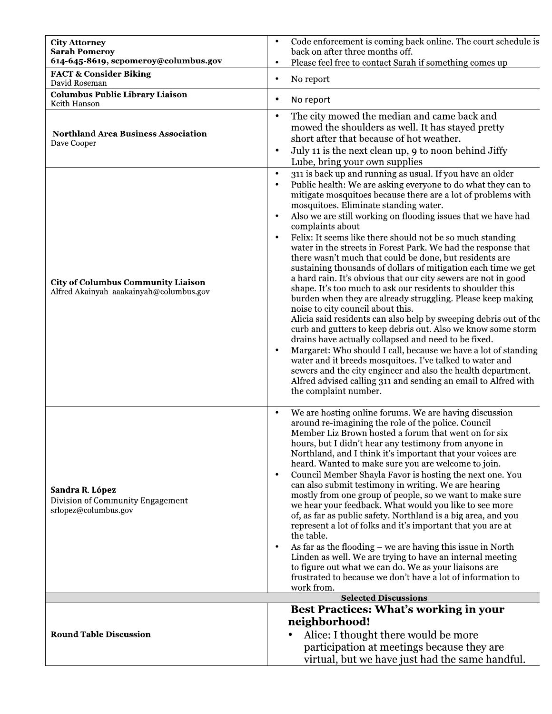| <b>City Attorney</b><br><b>Sarah Pomeroy</b><br>614-645-8619, scpomeroy@columbus.gov | Code enforcement is coming back online. The court schedule is<br>back on after three months off.<br>Please feel free to contact Sarah if something comes up<br>$\bullet$                                                                                                                                                                                                                                                                                                                                                                                                                                                                                                                                                                                                                                                                                                                                                                                                                                                                                                                                                                                                                                                                                                                                                               |
|--------------------------------------------------------------------------------------|----------------------------------------------------------------------------------------------------------------------------------------------------------------------------------------------------------------------------------------------------------------------------------------------------------------------------------------------------------------------------------------------------------------------------------------------------------------------------------------------------------------------------------------------------------------------------------------------------------------------------------------------------------------------------------------------------------------------------------------------------------------------------------------------------------------------------------------------------------------------------------------------------------------------------------------------------------------------------------------------------------------------------------------------------------------------------------------------------------------------------------------------------------------------------------------------------------------------------------------------------------------------------------------------------------------------------------------|
| <b>FACT &amp; Consider Biking</b><br>David Roseman                                   | No report<br>$\bullet$                                                                                                                                                                                                                                                                                                                                                                                                                                                                                                                                                                                                                                                                                                                                                                                                                                                                                                                                                                                                                                                                                                                                                                                                                                                                                                                 |
| <b>Columbus Public Library Liaison</b><br>Keith Hanson                               | No report<br>٠                                                                                                                                                                                                                                                                                                                                                                                                                                                                                                                                                                                                                                                                                                                                                                                                                                                                                                                                                                                                                                                                                                                                                                                                                                                                                                                         |
| <b>Northland Area Business Association</b><br>Dave Cooper                            | The city mowed the median and came back and<br>$\bullet$<br>mowed the shoulders as well. It has stayed pretty<br>short after that because of hot weather.<br>July 11 is the next clean up, 9 to noon behind Jiffy<br>$\bullet$<br>Lube, bring your own supplies                                                                                                                                                                                                                                                                                                                                                                                                                                                                                                                                                                                                                                                                                                                                                                                                                                                                                                                                                                                                                                                                        |
| <b>City of Columbus Community Liaison</b><br>Alfred Akainyah aaakainyah@columbus.gov | 311 is back up and running as usual. If you have an older<br>$\bullet$<br>Public health: We are asking everyone to do what they can to<br>mitigate mosquitoes because there are a lot of problems with<br>mosquitoes. Eliminate standing water.<br>Also we are still working on flooding issues that we have had<br>complaints about<br>Felix: It seems like there should not be so much standing<br>water in the streets in Forest Park. We had the response that<br>there wasn't much that could be done, but residents are<br>sustaining thousands of dollars of mitigation each time we get<br>a hard rain. It's obvious that our city sewers are not in good<br>shape. It's too much to ask our residents to shoulder this<br>burden when they are already struggling. Please keep making<br>noise to city council about this.<br>Alicia said residents can also help by sweeping debris out of the<br>curb and gutters to keep debris out. Also we know some storm<br>drains have actually collapsed and need to be fixed.<br>Margaret: Who should I call, because we have a lot of standing<br>$\bullet$<br>water and it breeds mosquitoes. I've talked to water and<br>sewers and the city engineer and also the health department.<br>Alfred advised calling 311 and sending an email to Alfred with<br>the complaint number. |
| Sandra R. López<br>Division of Community Engagement<br>srlopez@columbus.gov          | We are hosting online forums. We are having discussion<br>$\bullet$<br>around re-imagining the role of the police. Council<br>Member Liz Brown hosted a forum that went on for six<br>hours, but I didn't hear any testimony from anyone in<br>Northland, and I think it's important that your voices are<br>heard. Wanted to make sure you are welcome to join.<br>Council Member Shayla Favor is hosting the next one. You<br>$\bullet$<br>can also submit testimony in writing. We are hearing<br>mostly from one group of people, so we want to make sure<br>we hear your feedback. What would you like to see more<br>of, as far as public safety. Northland is a big area, and you<br>represent a lot of folks and it's important that you are at<br>the table.<br>As far as the flooding $-$ we are having this issue in North<br>Linden as well. We are trying to have an internal meeting<br>to figure out what we can do. We as your liaisons are<br>frustrated to because we don't have a lot of information to<br>work from.                                                                                                                                                                                                                                                                                               |
|                                                                                      | <b>Selected Discussions</b>                                                                                                                                                                                                                                                                                                                                                                                                                                                                                                                                                                                                                                                                                                                                                                                                                                                                                                                                                                                                                                                                                                                                                                                                                                                                                                            |
|                                                                                      | Best Practices: What's working in your<br>neighborhood!                                                                                                                                                                                                                                                                                                                                                                                                                                                                                                                                                                                                                                                                                                                                                                                                                                                                                                                                                                                                                                                                                                                                                                                                                                                                                |
| <b>Round Table Discussion</b>                                                        | Alice: I thought there would be more<br>participation at meetings because they are<br>virtual, but we have just had the same handful.                                                                                                                                                                                                                                                                                                                                                                                                                                                                                                                                                                                                                                                                                                                                                                                                                                                                                                                                                                                                                                                                                                                                                                                                  |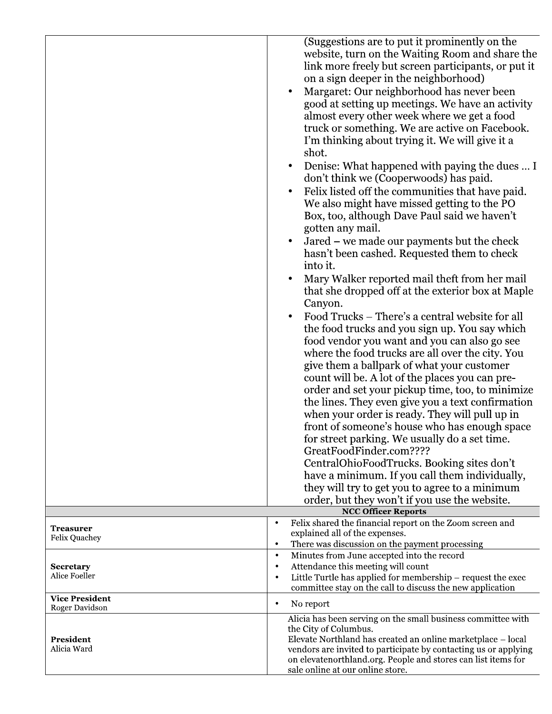|                                         | website, turn on the Waiting Room and share the<br>link more freely but screen participants, or put it<br>on a sign deeper in the neighborhood)<br>Margaret: Our neighborhood has never been<br>$\bullet$<br>good at setting up meetings. We have an activity<br>almost every other week where we get a food<br>truck or something. We are active on Facebook.<br>I'm thinking about trying it. We will give it a<br>shot.<br>Denise: What happened with paying the dues  I<br>$\bullet$<br>don't think we (Cooperwoods) has paid.<br>Felix listed off the communities that have paid.<br>$\bullet$<br>We also might have missed getting to the PO<br>Box, too, although Dave Paul said we haven't<br>gotten any mail.<br>Jared - we made our payments but the check<br>$\bullet$<br>hasn't been cashed. Requested them to check<br>into it.<br>Mary Walker reported mail theft from her mail<br>$\bullet$<br>that she dropped off at the exterior box at Maple<br>Canyon.<br>Food Trucks – There's a central website for all<br>$\bullet$<br>the food trucks and you sign up. You say which<br>food vendor you want and you can also go see<br>where the food trucks are all over the city. You<br>give them a ballpark of what your customer<br>count will be. A lot of the places you can pre-<br>order and set your pickup time, too, to minimize<br>the lines. They even give you a text confirmation<br>when your order is ready. They will pull up in<br>front of someone's house who has enough space<br>for street parking. We usually do a set time.<br>GreatFoodFinder.com????<br>CentralOhioFoodTrucks. Booking sites don't<br>have a minimum. If you call them individually,<br>they will try to get you to agree to a minimum<br>order, but they won't if you use the website. |
|-----------------------------------------|----------------------------------------------------------------------------------------------------------------------------------------------------------------------------------------------------------------------------------------------------------------------------------------------------------------------------------------------------------------------------------------------------------------------------------------------------------------------------------------------------------------------------------------------------------------------------------------------------------------------------------------------------------------------------------------------------------------------------------------------------------------------------------------------------------------------------------------------------------------------------------------------------------------------------------------------------------------------------------------------------------------------------------------------------------------------------------------------------------------------------------------------------------------------------------------------------------------------------------------------------------------------------------------------------------------------------------------------------------------------------------------------------------------------------------------------------------------------------------------------------------------------------------------------------------------------------------------------------------------------------------------------------------------------------------------------------------------------------------------------------------------------------------------------|
| Treasurer<br>Felix Quachey              | <b>NCC Officer Reports</b><br>Felix shared the financial report on the Zoom screen and<br>$\bullet$<br>explained all of the expenses.<br>There was discussion on the payment processing<br>$\bullet$                                                                                                                                                                                                                                                                                                                                                                                                                                                                                                                                                                                                                                                                                                                                                                                                                                                                                                                                                                                                                                                                                                                                                                                                                                                                                                                                                                                                                                                                                                                                                                                         |
| <b>Secretary</b><br>Alice Foeller       | Minutes from June accepted into the record<br>$\bullet$<br>Attendance this meeting will count<br>٠<br>Little Turtle has applied for membership – request the exec<br>$\bullet$<br>committee stay on the call to discuss the new application                                                                                                                                                                                                                                                                                                                                                                                                                                                                                                                                                                                                                                                                                                                                                                                                                                                                                                                                                                                                                                                                                                                                                                                                                                                                                                                                                                                                                                                                                                                                                  |
| <b>Vice President</b><br>Roger Davidson | $\bullet$<br>No report                                                                                                                                                                                                                                                                                                                                                                                                                                                                                                                                                                                                                                                                                                                                                                                                                                                                                                                                                                                                                                                                                                                                                                                                                                                                                                                                                                                                                                                                                                                                                                                                                                                                                                                                                                       |
| <b>President</b><br>Alicia Ward         | Alicia has been serving on the small business committee with<br>the City of Columbus.<br>Elevate Northland has created an online marketplace – local<br>vendors are invited to participate by contacting us or applying<br>on elevatenorthland.org. People and stores can list items for<br>sale online at our online store.                                                                                                                                                                                                                                                                                                                                                                                                                                                                                                                                                                                                                                                                                                                                                                                                                                                                                                                                                                                                                                                                                                                                                                                                                                                                                                                                                                                                                                                                 |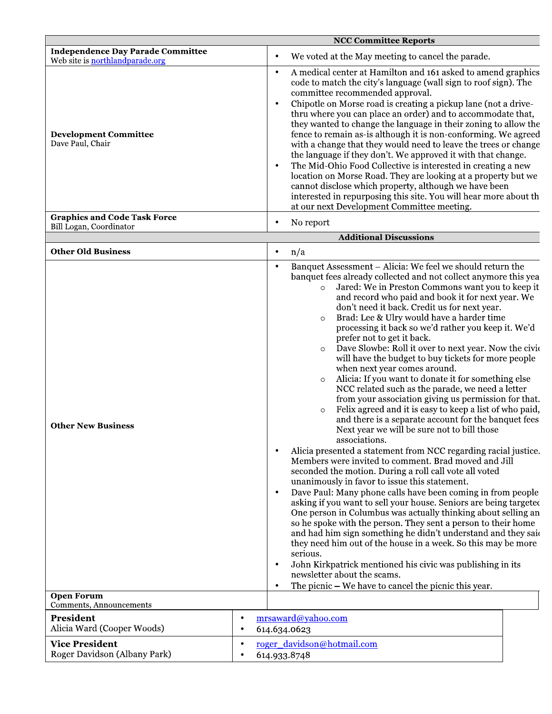|                                                                             | <b>NCC Committee Reports</b>                                                                                                                                                                                                                                                                                                                                                                                                                                                                                                                                                                                                                                                                                                                                                                                                                                                                                                       |
|-----------------------------------------------------------------------------|------------------------------------------------------------------------------------------------------------------------------------------------------------------------------------------------------------------------------------------------------------------------------------------------------------------------------------------------------------------------------------------------------------------------------------------------------------------------------------------------------------------------------------------------------------------------------------------------------------------------------------------------------------------------------------------------------------------------------------------------------------------------------------------------------------------------------------------------------------------------------------------------------------------------------------|
| <b>Independence Day Parade Committee</b><br>Web site is northlandparade.org | We voted at the May meeting to cancel the parade.<br>٠                                                                                                                                                                                                                                                                                                                                                                                                                                                                                                                                                                                                                                                                                                                                                                                                                                                                             |
| <b>Development Committee</b><br>Dave Paul, Chair                            | A medical center at Hamilton and 161 asked to amend graphics<br>$\bullet$<br>code to match the city's language (wall sign to roof sign). The<br>committee recommended approval.<br>Chipotle on Morse road is creating a pickup lane (not a drive-<br>$\bullet$<br>thru where you can place an order) and to accommodate that,<br>they wanted to change the language in their zoning to allow the<br>fence to remain as-is although it is non-conforming. We agreed<br>with a change that they would need to leave the trees or change<br>the language if they don't. We approved it with that change.<br>The Mid-Ohio Food Collective is interested in creating a new<br>$\bullet$<br>location on Morse Road. They are looking at a property but we<br>cannot disclose which property, although we have been<br>interested in repurposing this site. You will hear more about th<br>at our next Development Committee meeting.     |
| <b>Graphics and Code Task Force</b><br>Bill Logan, Coordinator              | No report<br>٠                                                                                                                                                                                                                                                                                                                                                                                                                                                                                                                                                                                                                                                                                                                                                                                                                                                                                                                     |
|                                                                             | <b>Additional Discussions</b>                                                                                                                                                                                                                                                                                                                                                                                                                                                                                                                                                                                                                                                                                                                                                                                                                                                                                                      |
| <b>Other Old Business</b>                                                   | n/a<br>$\bullet$                                                                                                                                                                                                                                                                                                                                                                                                                                                                                                                                                                                                                                                                                                                                                                                                                                                                                                                   |
|                                                                             | Banquet Assessment - Alicia: We feel we should return the<br>$\bullet$<br>banquet fees already collected and not collect anymore this yea<br>Jared: We in Preston Commons want you to keep it<br>$\circ$<br>and record who paid and book it for next year. We<br>don't need it back. Credit us for next year.<br>Brad: Lee & Ulry would have a harder time<br>$\circ$<br>processing it back so we'd rather you keep it. We'd<br>prefer not to get it back.<br>Dave Slowbe: Roll it over to next year. Now the civic<br>$\circ$<br>will have the budget to buy tickets for more people<br>when next year comes around.<br>Alicia: If you want to donate it for something else<br>$\circ$<br>NCC related such as the parade, we need a letter<br>from your association giving us permission for that.<br>Felix agreed and it is easy to keep a list of who paid,<br>$\circ$<br>and there is a separate account for the banquet fees. |

|  | Other New Business |  |
|--|--------------------|--|
|  |                    |  |

| associations.                                                   |
|-----------------------------------------------------------------|
| Alicia presented a statement from NCC regarding racial justice. |
| Members were invited to comment. Brad moved and Jill            |
| seconded the motion. During a roll call vote all voted          |
| unanimously in favor to issue this statement.                   |
|                                                                 |

Next year we will be sure not to bill those

- Dave Paul: Many phone calls have been coming in from people  $\bullet$ asking if you want to sell your house. Seniors are being targeted One person in Columbus was actually thinking about selling an so he spoke with the person. They sent a person to their home and had him sign something he didn't understand and they said they need him out of the house in a week. So this may be more serious.
- John Kirkpatrick mentioned his civic was publishing in its  $\bullet$  $\frac{1}{2}$  $\alpha$  $11 + 1$

|                                                       | newsletter about the scams.<br>The picnic $-$ We have to cancel the picnic this year. |
|-------------------------------------------------------|---------------------------------------------------------------------------------------|
| <b>Open Forum</b><br>Comments, Announcements          |                                                                                       |
| President<br>Alicia Ward (Cooper Woods)               | mrsaward@yahoo.com<br>614.634.0623                                                    |
| <b>Vice President</b><br>Roger Davidson (Albany Park) | roger davidson@hotmail.com<br>614.933.8748                                            |